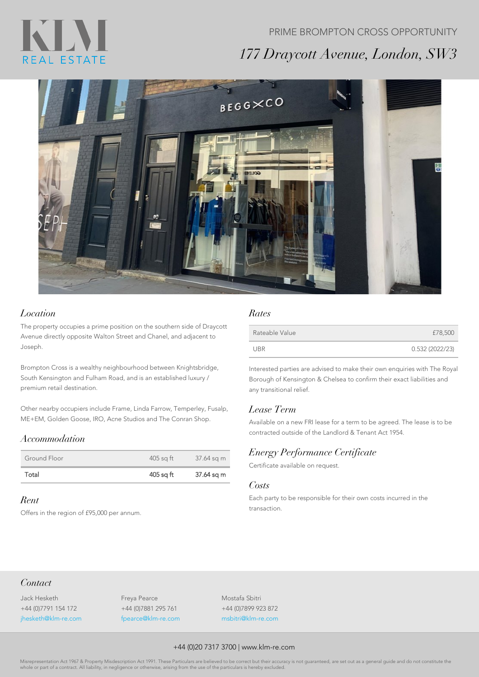# KIN REAL ESTATE

## PRIME BROMPTON CROSS OPPORTUNITY *177 Draycott Avenue, London, SW3*



#### *Location*

The property occupies a prime position on the southern side of Draycott Avenue directly opposite Walton Street and Chanel, and adjacent to Joseph.

Brompton Cross is a wealthy neighbourhood between Knightsbridge, South Kensington and Fulham Road, and is an established luxury / premium retail destination.

Other nearby occupiers include Frame, Linda Farrow, Temperley, Fusalp, ME+EM, Golden Goose, IRO, Acne Studios and The Conran Shop.

### *Accommodation*

| Ground Floor | 405 sg ft | 37.64 sq m |
|--------------|-----------|------------|
| Total        | 405 sq ft | 37.64 sq m |

#### *Rent*

Offers in the region of £95,000 per annum.

#### *Rates*

| Rateable Value | £78,500        |
|----------------|----------------|
| UBR            | 0.532(2022/23) |

Interested parties are advised to make their own enquiries with The Royal Borough of Kensington & Chelsea to confirm their exact liabilities and any transitional relief.

#### *Lease Term*

Available on a new FRI lease for a term to be agreed. The lease is to be contracted outside of the Landlord & Tenant Act 1954.

#### *Energy Performance Certificate*

Certificate available on request.

#### *Costs*

Each party to be responsible for their own costs incurred in the transaction.

### *Contact*

Jack Hesketh +44 (0)7791 154 172 jhesketh@klm-re.com Freya Pearce +44 (0)7881 295 761 fpearce@klm-re.com Mostafa Sbitri +44 (0)7899 923 872 msbitri@klm-re.com

#### +44 (0)20 7317 3700 | www.klm-re.com

Misrepresentation Act 1967 & Property Misdescription Act 1991. These Particulars are believed to be correct but their accuracy is not guaranteed, are set out as a general guide and do not constitute the le or part of a contract. All liability, in negligence or otherwise, arising from the use of the particulars is hereby excluded